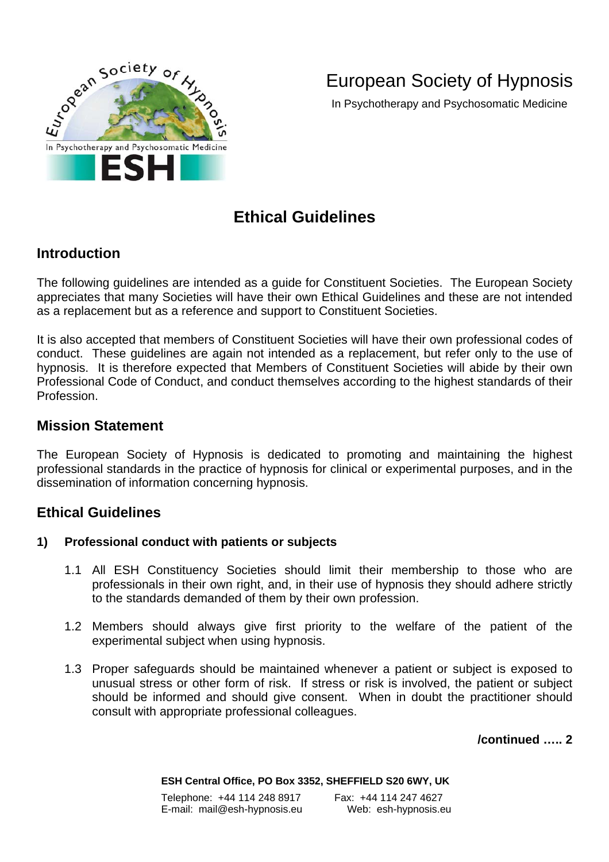

# European Society of Hypnosis

In Psychotherapy and Psychosomatic Medicine

## **Ethical Guidelines**

## **Introduction**

The following guidelines are intended as a guide for Constituent Societies. The European Society appreciates that many Societies will have their own Ethical Guidelines and these are not intended as a replacement but as a reference and support to Constituent Societies.

It is also accepted that members of Constituent Societies will have their own professional codes of conduct. These guidelines are again not intended as a replacement, but refer only to the use of hypnosis. It is therefore expected that Members of Constituent Societies will abide by their own Professional Code of Conduct, and conduct themselves according to the highest standards of their Profession.

## **Mission Statement**

The European Society of Hypnosis is dedicated to promoting and maintaining the highest professional standards in the practice of hypnosis for clinical or experimental purposes, and in the dissemination of information concerning hypnosis.

## **Ethical Guidelines**

#### **1) Professional conduct with patients or subjects**

- 1.1 All ESH Constituency Societies should limit their membership to those who are professionals in their own right, and, in their use of hypnosis they should adhere strictly to the standards demanded of them by their own profession.
- 1.2 Members should always give first priority to the welfare of the patient of the experimental subject when using hypnosis.
- 1.3 Proper safeguards should be maintained whenever a patient or subject is exposed to unusual stress or other form of risk. If stress or risk is involved, the patient or subject should be informed and should give consent. When in doubt the practitioner should consult with appropriate professional colleagues.

**/continued ….. 2**

**ESH Central Office, PO Box 3352, SHEFFIELD S20 6WY, UK**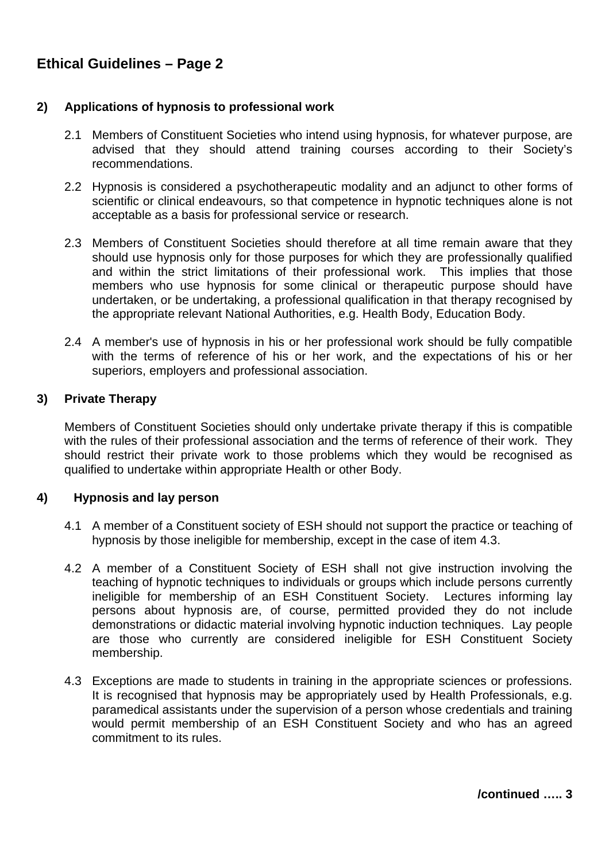## **Ethical Guidelines – Page 2**

#### **2) Applications of hypnosis to professional work**

- 2.1 Members of Constituent Societies who intend using hypnosis, for whatever purpose, are advised that they should attend training courses according to their Society's recommendations.
- 2.2 Hypnosis is considered a psychotherapeutic modality and an adjunct to other forms of scientific or clinical endeavours, so that competence in hypnotic techniques alone is not acceptable as a basis for professional service or research.
- 2.3 Members of Constituent Societies should therefore at all time remain aware that they should use hypnosis only for those purposes for which they are professionally qualified and within the strict limitations of their professional work. This implies that those members who use hypnosis for some clinical or therapeutic purpose should have undertaken, or be undertaking, a professional qualification in that therapy recognised by the appropriate relevant National Authorities, e.g. Health Body, Education Body.
- 2.4 A member's use of hypnosis in his or her professional work should be fully compatible with the terms of reference of his or her work, and the expectations of his or her superiors, employers and professional association.

#### **3) Private Therapy**

Members of Constituent Societies should only undertake private therapy if this is compatible with the rules of their professional association and the terms of reference of their work. They should restrict their private work to those problems which they would be recognised as qualified to undertake within appropriate Health or other Body.

#### **4) Hypnosis and lay person**

- 4.1 A member of a Constituent society of ESH should not support the practice or teaching of hypnosis by those ineligible for membership, except in the case of item 4.3.
- 4.2 A member of a Constituent Society of ESH shall not give instruction involving the teaching of hypnotic techniques to individuals or groups which include persons currently ineligible for membership of an ESH Constituent Society. Lectures informing lay persons about hypnosis are, of course, permitted provided they do not include demonstrations or didactic material involving hypnotic induction techniques. Lay people are those who currently are considered ineligible for ESH Constituent Society membership.
- 4.3 Exceptions are made to students in training in the appropriate sciences or professions. It is recognised that hypnosis may be appropriately used by Health Professionals, e.g. paramedical assistants under the supervision of a person whose credentials and training would permit membership of an ESH Constituent Society and who has an agreed commitment to its rules.